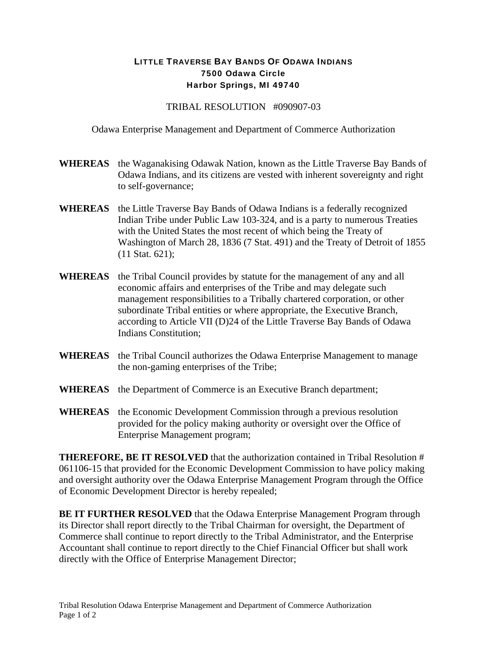## LITTLE TRAVERSE BAY BANDS OF ODAWA INDIANS 7500 Odawa Circle Harbor Springs, MI 49740

## TRIBAL RESOLUTION #090907-03

Odawa Enterprise Management and Department of Commerce Authorization

- **WHEREAS** the Waganakising Odawak Nation, known as the Little Traverse Bay Bands of Odawa Indians, and its citizens are vested with inherent sovereignty and right to self-governance;
- **WHEREAS** the Little Traverse Bay Bands of Odawa Indians is a federally recognized Indian Tribe under Public Law 103-324, and is a party to numerous Treaties with the United States the most recent of which being the Treaty of Washington of March 28, 1836 (7 Stat. 491) and the Treaty of Detroit of 1855 (11 Stat. 621);
- **WHEREAS** the Tribal Council provides by statute for the management of any and all economic affairs and enterprises of the Tribe and may delegate such management responsibilities to a Tribally chartered corporation, or other subordinate Tribal entities or where appropriate, the Executive Branch, according to Article VII (D)24 of the Little Traverse Bay Bands of Odawa Indians Constitution;
- WHEREAS the Tribal Council authorizes the Odawa Enterprise Management to manage the non-gaming enterprises of the Tribe;
- **WHEREAS** the Department of Commerce is an Executive Branch department;
- **WHEREAS** the Economic Development Commission through a previous resolution provided for the policy making authority or oversight over the Office of Enterprise Management program;

**THEREFORE, BE IT RESOLVED** that the authorization contained in Tribal Resolution # 061106-15 that provided for the Economic Development Commission to have policy making and oversight authority over the Odawa Enterprise Management Program through the Office of Economic Development Director is hereby repealed;

**BE IT FURTHER RESOLVED** that the Odawa Enterprise Management Program through its Director shall report directly to the Tribal Chairman for oversight, the Department of Commerce shall continue to report directly to the Tribal Administrator, and the Enterprise Accountant shall continue to report directly to the Chief Financial Officer but shall work directly with the Office of Enterprise Management Director;